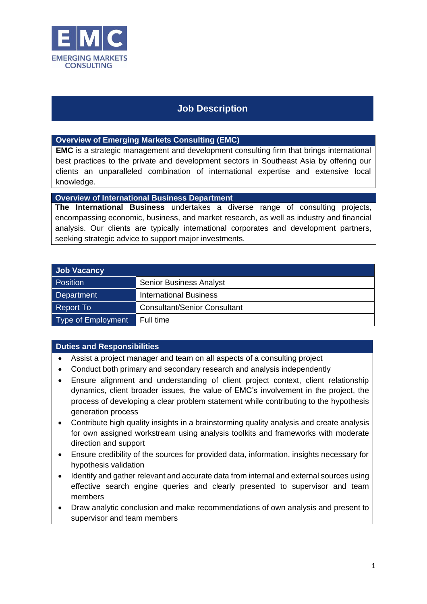

## **Job Description**

**Overview of Emerging Markets Consulting (EMC)**

**EMC** is a strategic management and development consulting firm that brings international best practices to the private and development sectors in Southeast Asia by offering our clients an unparalleled combination of international expertise and extensive local knowledge.

**Overview of International Business Department**

**The International Business** undertakes a diverse range of consulting projects, encompassing economic, business, and market research, as well as industry and financial analysis. Our clients are typically international corporates and development partners, seeking strategic advice to support major investments.

| <b>Job Vacancy</b> |                                     |
|--------------------|-------------------------------------|
| <b>Position</b>    | <b>Senior Business Analyst</b>      |
| Department         | <b>International Business</b>       |
| Report To          | <b>Consultant/Senior Consultant</b> |
| Type of Employment | Full time                           |

## **Duties and Responsibilities**

- Assist a project manager and team on all aspects of a consulting project
- Conduct both primary and secondary research and analysis independently
- Ensure alignment and understanding of client project context, client relationship dynamics, client broader issues, the value of EMC's involvement in the project, the process of developing a clear problem statement while contributing to the hypothesis generation process
- Contribute high quality insights in a brainstorming quality analysis and create analysis for own assigned workstream using analysis toolkits and frameworks with moderate direction and support
- Ensure credibility of the sources for provided data, information, insights necessary for hypothesis validation
- Identify and gather relevant and accurate data from internal and external sources using effective search engine queries and clearly presented to supervisor and team members
- Draw analytic conclusion and make recommendations of own analysis and present to supervisor and team members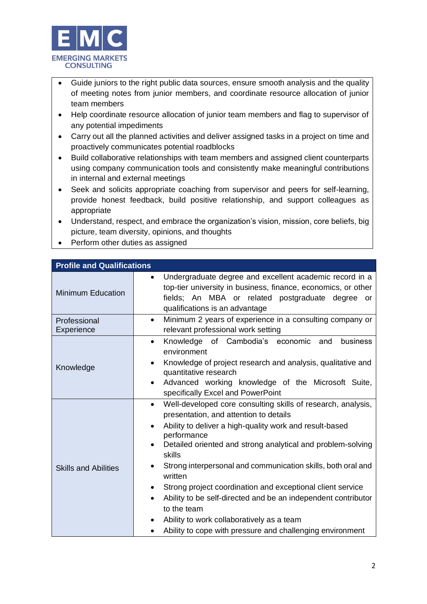

- Guide juniors to the right public data sources, ensure smooth analysis and the quality of meeting notes from junior members, and coordinate resource allocation of junior team members
- Help coordinate resource allocation of junior team members and flag to supervisor of any potential impediments
- Carry out all the planned activities and deliver assigned tasks in a project on time and proactively communicates potential roadblocks
- Build collaborative relationships with team members and assigned client counterparts using company communication tools and consistently make meaningful contributions in internal and external meetings
- Seek and solicits appropriate coaching from supervisor and peers for self-learning, provide honest feedback, build positive relationship, and support colleagues as appropriate
- Understand, respect, and embrace the organization's vision, mission, core beliefs, big picture, team diversity, opinions, and thoughts
- Perform other duties as assigned

| <b>Profile and Qualifications</b> |                                                                                                                                                                                                                                                                                                                                                                                                                                                                                                                                                                                                                                  |  |
|-----------------------------------|----------------------------------------------------------------------------------------------------------------------------------------------------------------------------------------------------------------------------------------------------------------------------------------------------------------------------------------------------------------------------------------------------------------------------------------------------------------------------------------------------------------------------------------------------------------------------------------------------------------------------------|--|
| <b>Minimum Education</b>          | Undergraduate degree and excellent academic record in a<br>$\bullet$<br>top-tier university in business, finance, economics, or other<br>fields; An MBA or related postgraduate degree or<br>qualifications is an advantage                                                                                                                                                                                                                                                                                                                                                                                                      |  |
| Professional<br><b>Experience</b> | Minimum 2 years of experience in a consulting company or<br>$\bullet$<br>relevant professional work setting                                                                                                                                                                                                                                                                                                                                                                                                                                                                                                                      |  |
| Knowledge                         | Knowledge of Cambodia's<br>economic<br>business<br>and<br>$\bullet$<br>environment<br>Knowledge of project research and analysis, qualitative and<br>$\bullet$<br>quantitative research<br>Advanced working knowledge of the Microsoft Suite,<br>specifically Excel and PowerPoint                                                                                                                                                                                                                                                                                                                                               |  |
| <b>Skills and Abilities</b>       | Well-developed core consulting skills of research, analysis,<br>$\bullet$<br>presentation, and attention to details<br>Ability to deliver a high-quality work and result-based<br>٠<br>performance<br>Detailed oriented and strong analytical and problem-solving<br>skills<br>Strong interpersonal and communication skills, both oral and<br>٠<br>written<br>Strong project coordination and exceptional client service<br>$\bullet$<br>Ability to be self-directed and be an independent contributor<br>to the team<br>Ability to work collaboratively as a team<br>Ability to cope with pressure and challenging environment |  |